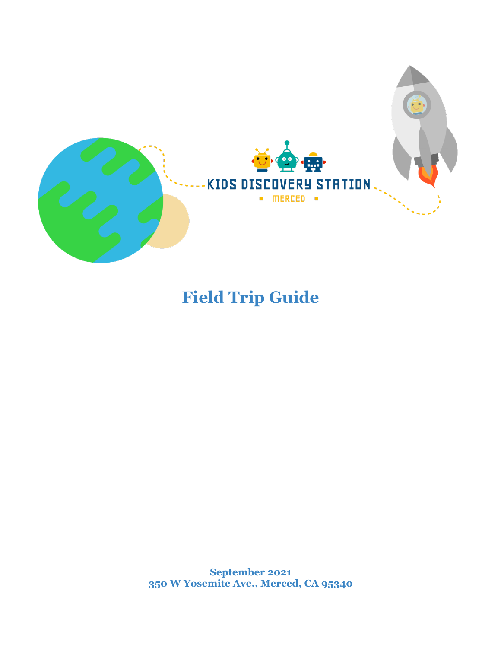

# **Field Trip Guide**

**September 2021 350 W Yosemite Ave., Merced, CA 95340**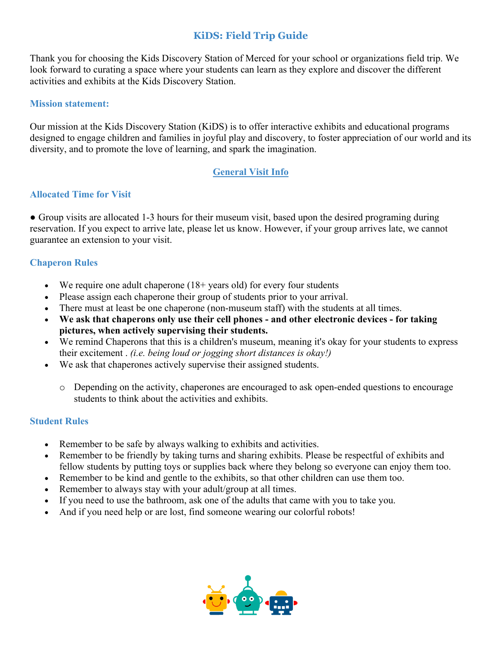### **KiDS: Field Trip Guide**

Thank you for choosing the Kids Discovery Station of Merced for your school or organizations field trip. We look forward to curating a space where your students can learn as they explore and discover the different activities and exhibits at the Kids Discovery Station.

#### **Mission statement:**

Our mission at the Kids Discovery Station (KiDS) is to offer interactive exhibits and educational programs designed to engage children and families in joyful play and discovery, to foster appreciation of our world and its diversity, and to promote the love of learning, and spark the imagination.

#### **General Visit Info**

#### **Allocated Time for Visit**

• Group visits are allocated 1-3 hours for their museum visit, based upon the desired programing during reservation. If you expect to arrive late, please let us know. However, if your group arrives late, we cannot guarantee an extension to your visit.

#### **Chaperon Rules**

- We require one adult chaperone  $(18+)$  years old) for every four students
- Please assign each chaperone their group of students prior to your arrival.
- There must at least be one chaperone (non-museum staff) with the students at all times.
- **We ask that chaperons only use their cell phones - and other electronic devices - for taking pictures, when actively supervising their students.**
- We remind Chaperons that this is a children's museum, meaning it's okay for your students to express their excitement . *(i.e. being loud or jogging short distances is okay!)*
- We ask that chaperones actively supervise their assigned students.
	- o Depending on the activity, chaperones are encouraged to ask open-ended questions to encourage students to think about the activities and exhibits.

#### **Student Rules**

- Remember to be safe by always walking to exhibits and activities.
- Remember to be friendly by taking turns and sharing exhibits. Please be respectful of exhibits and fellow students by putting toys or supplies back where they belong so everyone can enjoy them too.
- Remember to be kind and gentle to the exhibits, so that other children can use them too.
- Remember to always stay with your adult/group at all times.
- If you need to use the bathroom, ask one of the adults that came with you to take you.
- And if you need help or are lost, find someone wearing our colorful robots!

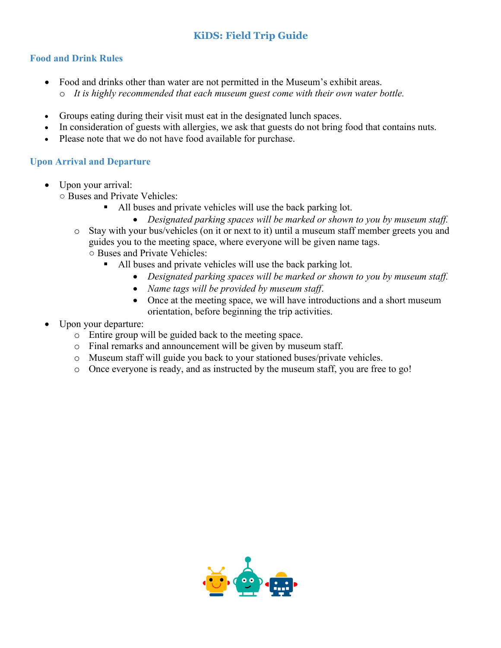## **KiDS: Field Trip Guide**

#### **Food and Drink Rules**

- Food and drinks other than water are not permitted in the Museum's exhibit areas.
	- o *It is highly recommended that each museum guest come with their own water bottle.*
- Groups eating during their visit must eat in the designated lunch spaces.
- In consideration of guests with allergies, we ask that guests do not bring food that contains nuts.
- Please note that we do not have food available for purchase.

#### **Upon Arrival and Departure**

- Upon your arrival:
	- Buses and Private Vehicles:
		- All buses and private vehicles will use the back parking lot.
			- *Designated parking spaces will be marked or shown to you by museum staff.*
		- o Stay with your bus/vehicles (on it or next to it) until a museum staff member greets you and guides you to the meeting space, where everyone will be given name tags. ○ Buses and Private Vehicles:
			- All buses and private vehicles will use the back parking lot.
				- *Designated parking spaces will be marked or shown to you by museum staff.*
				- *Name tags will be provided by museum staff*.
				- Once at the meeting space, we will have introductions and a short museum orientation, before beginning the trip activities.
- Upon your departure:
	- o Entire group will be guided back to the meeting space.
	- o Final remarks and announcement will be given by museum staff.
	- o Museum staff will guide you back to your stationed buses/private vehicles.
	- o Once everyone is ready, and as instructed by the museum staff, you are free to go!